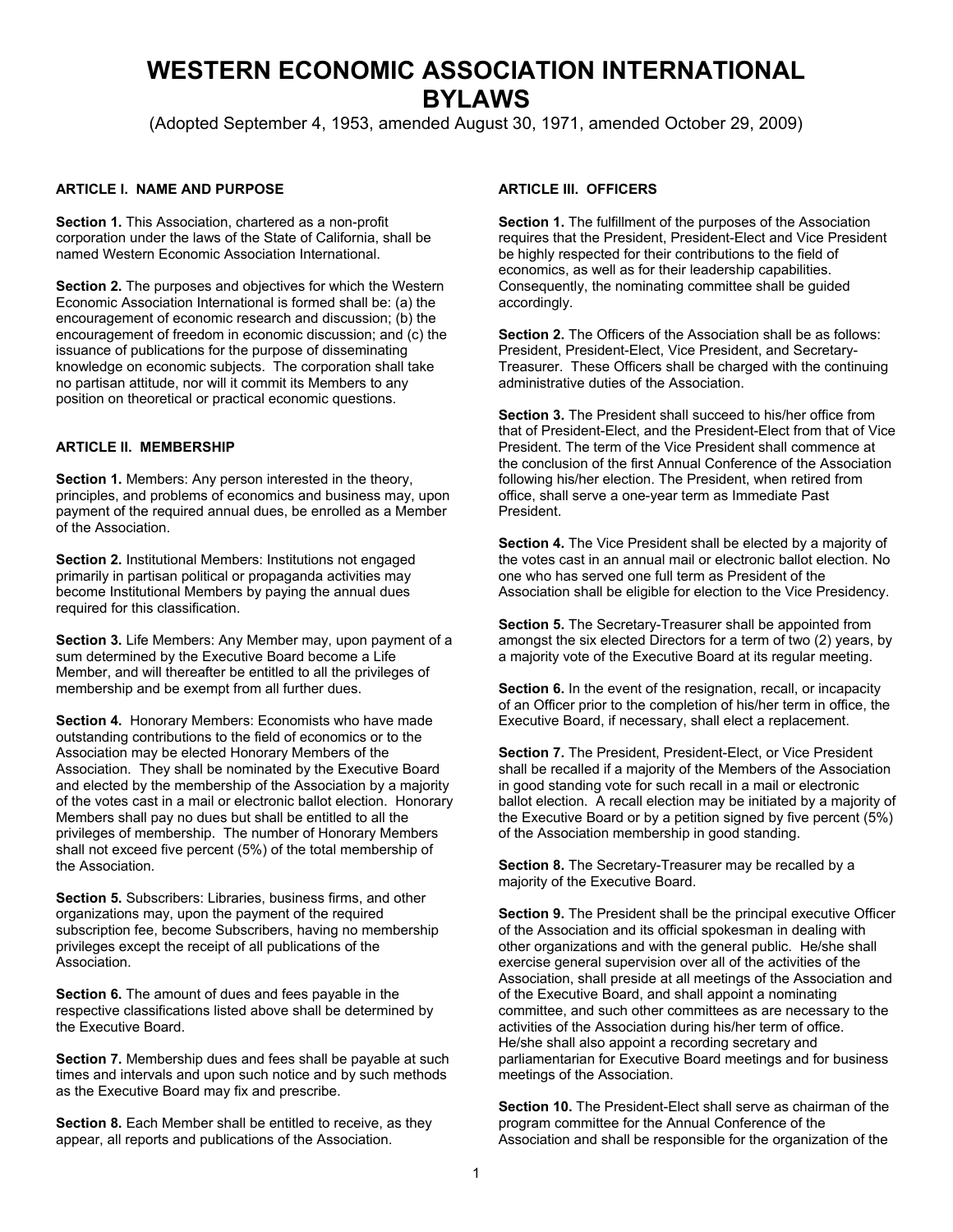# **WESTERN ECONOMIC ASSOCIATION INTERNATIONAL BYLAWS**

(Adopted September 4, 1953, amended August 30, 1971, amended October 29, 2009)

### **ARTICLE I. NAME AND PURPOSE**

**Section 1.** This Association, chartered as a non-profit corporation under the laws of the State of California, shall be named Western Economic Association International.

**Section 2.** The purposes and objectives for which the Western Economic Association International is formed shall be: (a) the encouragement of economic research and discussion; (b) the encouragement of freedom in economic discussion; and (c) the issuance of publications for the purpose of disseminating knowledge on economic subjects. The corporation shall take no partisan attitude, nor will it commit its Members to any position on theoretical or practical economic questions.

## **ARTICLE II. MEMBERSHIP**

**Section 1.** Members: Any person interested in the theory, principles, and problems of economics and business may, upon payment of the required annual dues, be enrolled as a Member of the Association.

**Section 2.** Institutional Members: Institutions not engaged primarily in partisan political or propaganda activities may become Institutional Members by paying the annual dues required for this classification.

**Section 3.** Life Members: Any Member may, upon payment of a sum determined by the Executive Board become a Life Member, and will thereafter be entitled to all the privileges of membership and be exempt from all further dues.

**Section 4.** Honorary Members: Economists who have made outstanding contributions to the field of economics or to the Association may be elected Honorary Members of the Association. They shall be nominated by the Executive Board and elected by the membership of the Association by a majority of the votes cast in a mail or electronic ballot election. Honorary Members shall pay no dues but shall be entitled to all the privileges of membership. The number of Honorary Members shall not exceed five percent (5%) of the total membership of the Association.

**Section 5.** Subscribers: Libraries, business firms, and other organizations may, upon the payment of the required subscription fee, become Subscribers, having no membership privileges except the receipt of all publications of the Association.

**Section 6.** The amount of dues and fees payable in the respective classifications listed above shall be determined by the Executive Board.

**Section 7.** Membership dues and fees shall be payable at such times and intervals and upon such notice and by such methods as the Executive Board may fix and prescribe.

**Section 8.** Each Member shall be entitled to receive, as they appear, all reports and publications of the Association.

### **ARTICLE III. OFFICERS**

**Section 1.** The fulfillment of the purposes of the Association requires that the President, President-Elect and Vice President be highly respected for their contributions to the field of economics, as well as for their leadership capabilities. Consequently, the nominating committee shall be guided accordingly.

**Section 2.** The Officers of the Association shall be as follows: President, President-Elect, Vice President, and Secretary-Treasurer. These Officers shall be charged with the continuing administrative duties of the Association.

**Section 3.** The President shall succeed to his/her office from that of President-Elect, and the President-Elect from that of Vice President. The term of the Vice President shall commence at the conclusion of the first Annual Conference of the Association following his/her election. The President, when retired from office, shall serve a one-year term as Immediate Past President.

**Section 4.** The Vice President shall be elected by a majority of the votes cast in an annual mail or electronic ballot election. No one who has served one full term as President of the Association shall be eligible for election to the Vice Presidency.

**Section 5.** The Secretary-Treasurer shall be appointed from amongst the six elected Directors for a term of two (2) years, by a majority vote of the Executive Board at its regular meeting.

**Section 6.** In the event of the resignation, recall, or incapacity of an Officer prior to the completion of his/her term in office, the Executive Board, if necessary, shall elect a replacement.

**Section 7.** The President, President-Elect, or Vice President shall be recalled if a majority of the Members of the Association in good standing vote for such recall in a mail or electronic ballot election. A recall election may be initiated by a majority of the Executive Board or by a petition signed by five percent (5%) of the Association membership in good standing.

**Section 8.** The Secretary-Treasurer may be recalled by a majority of the Executive Board.

**Section 9.** The President shall be the principal executive Officer of the Association and its official spokesman in dealing with other organizations and with the general public. He/she shall exercise general supervision over all of the activities of the Association, shall preside at all meetings of the Association and of the Executive Board, and shall appoint a nominating committee, and such other committees as are necessary to the activities of the Association during his/her term of office. He/she shall also appoint a recording secretary and parliamentarian for Executive Board meetings and for business meetings of the Association.

**Section 10.** The President-Elect shall serve as chairman of the program committee for the Annual Conference of the Association and shall be responsible for the organization of the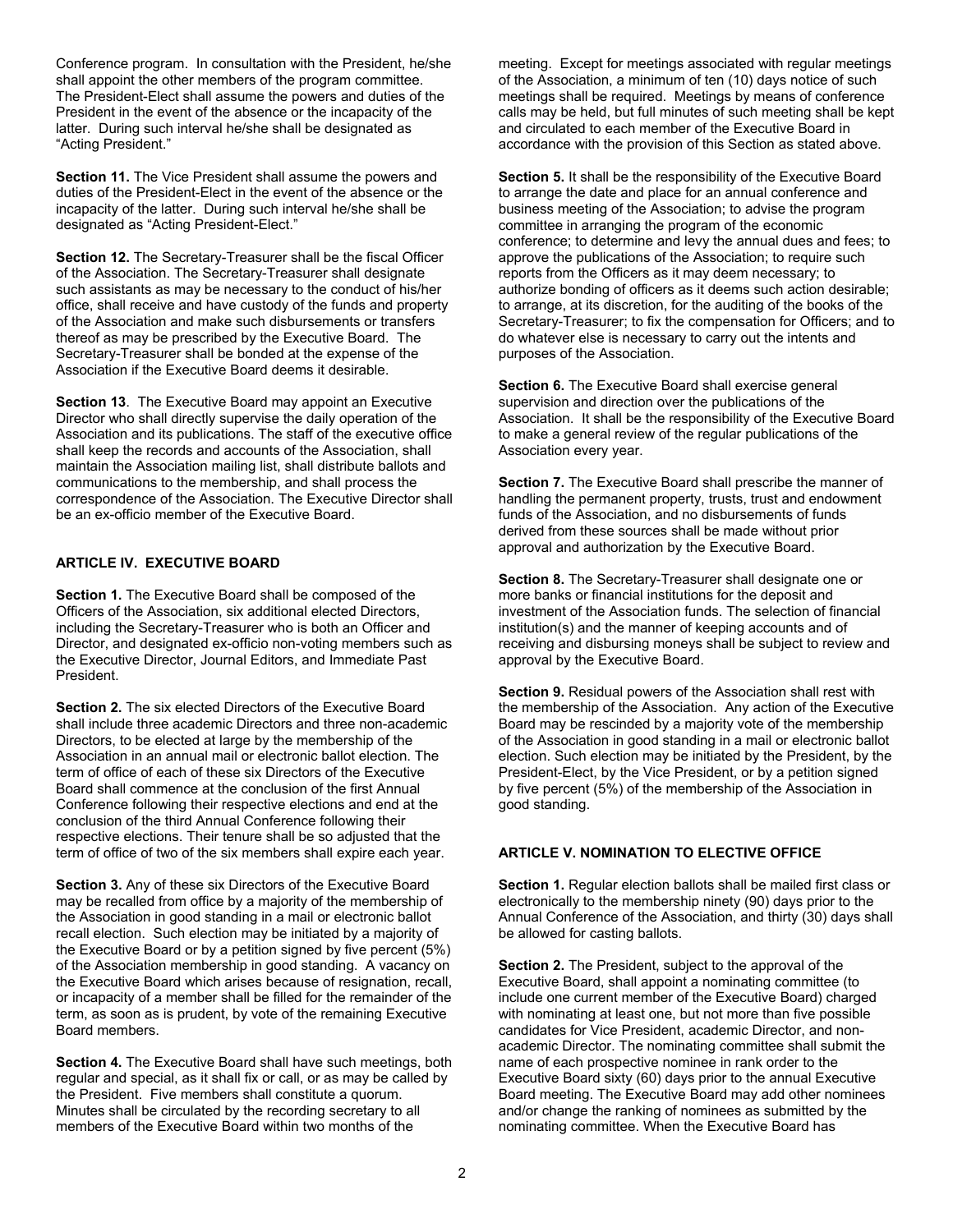Conference program. In consultation with the President, he/she shall appoint the other members of the program committee. The President-Elect shall assume the powers and duties of the President in the event of the absence or the incapacity of the latter. During such interval he/she shall be designated as "Acting President."

**Section 11.** The Vice President shall assume the powers and duties of the President-Elect in the event of the absence or the incapacity of the latter. During such interval he/she shall be designated as "Acting President-Elect."

**Section 12.** The Secretary-Treasurer shall be the fiscal Officer of the Association. The Secretary-Treasurer shall designate such assistants as may be necessary to the conduct of his/her office, shall receive and have custody of the funds and property of the Association and make such disbursements or transfers thereof as may be prescribed by the Executive Board. The Secretary-Treasurer shall be bonded at the expense of the Association if the Executive Board deems it desirable.

**Section 13**. The Executive Board may appoint an Executive Director who shall directly supervise the daily operation of the Association and its publications. The staff of the executive office shall keep the records and accounts of the Association, shall maintain the Association mailing list, shall distribute ballots and communications to the membership, and shall process the correspondence of the Association. The Executive Director shall be an ex-officio member of the Executive Board.

### **ARTICLE IV. EXECUTIVE BOARD**

**Section 1.** The Executive Board shall be composed of the Officers of the Association, six additional elected Directors, including the Secretary-Treasurer who is both an Officer and Director, and designated ex-officio non-voting members such as the Executive Director, Journal Editors, and Immediate Past President.

**Section 2.** The six elected Directors of the Executive Board shall include three academic Directors and three non-academic Directors, to be elected at large by the membership of the Association in an annual mail or electronic ballot election. The term of office of each of these six Directors of the Executive Board shall commence at the conclusion of the first Annual Conference following their respective elections and end at the conclusion of the third Annual Conference following their respective elections. Their tenure shall be so adjusted that the term of office of two of the six members shall expire each year.

**Section 3.** Any of these six Directors of the Executive Board may be recalled from office by a majority of the membership of the Association in good standing in a mail or electronic ballot recall election. Such election may be initiated by a majority of the Executive Board or by a petition signed by five percent (5%) of the Association membership in good standing. A vacancy on the Executive Board which arises because of resignation, recall, or incapacity of a member shall be filled for the remainder of the term, as soon as is prudent, by vote of the remaining Executive Board members.

**Section 4.** The Executive Board shall have such meetings, both regular and special, as it shall fix or call, or as may be called by the President. Five members shall constitute a quorum. Minutes shall be circulated by the recording secretary to all members of the Executive Board within two months of the

meeting. Except for meetings associated with regular meetings of the Association, a minimum of ten (10) days notice of such meetings shall be required. Meetings by means of conference calls may be held, but full minutes of such meeting shall be kept and circulated to each member of the Executive Board in accordance with the provision of this Section as stated above.

**Section 5.** It shall be the responsibility of the Executive Board to arrange the date and place for an annual conference and business meeting of the Association; to advise the program committee in arranging the program of the economic conference; to determine and levy the annual dues and fees; to approve the publications of the Association; to require such reports from the Officers as it may deem necessary; to authorize bonding of officers as it deems such action desirable; to arrange, at its discretion, for the auditing of the books of the Secretary-Treasurer; to fix the compensation for Officers; and to do whatever else is necessary to carry out the intents and purposes of the Association.

**Section 6.** The Executive Board shall exercise general supervision and direction over the publications of the Association. It shall be the responsibility of the Executive Board to make a general review of the regular publications of the Association every year.

**Section 7.** The Executive Board shall prescribe the manner of handling the permanent property, trusts, trust and endowment funds of the Association, and no disbursements of funds derived from these sources shall be made without prior approval and authorization by the Executive Board.

**Section 8.** The Secretary-Treasurer shall designate one or more banks or financial institutions for the deposit and investment of the Association funds. The selection of financial institution(s) and the manner of keeping accounts and of receiving and disbursing moneys shall be subject to review and approval by the Executive Board.

**Section 9.** Residual powers of the Association shall rest with the membership of the Association. Any action of the Executive Board may be rescinded by a majority vote of the membership of the Association in good standing in a mail or electronic ballot election. Such election may be initiated by the President, by the President-Elect, by the Vice President, or by a petition signed by five percent (5%) of the membership of the Association in good standing.

#### **ARTICLE V. NOMINATION TO ELECTIVE OFFICE**

**Section 1.** Regular election ballots shall be mailed first class or electronically to the membership ninety (90) days prior to the Annual Conference of the Association, and thirty (30) days shall be allowed for casting ballots.

**Section 2.** The President, subject to the approval of the Executive Board, shall appoint a nominating committee (to include one current member of the Executive Board) charged with nominating at least one, but not more than five possible candidates for Vice President, academic Director, and nonacademic Director. The nominating committee shall submit the name of each prospective nominee in rank order to the Executive Board sixty (60) days prior to the annual Executive Board meeting. The Executive Board may add other nominees and/or change the ranking of nominees as submitted by the nominating committee. When the Executive Board has